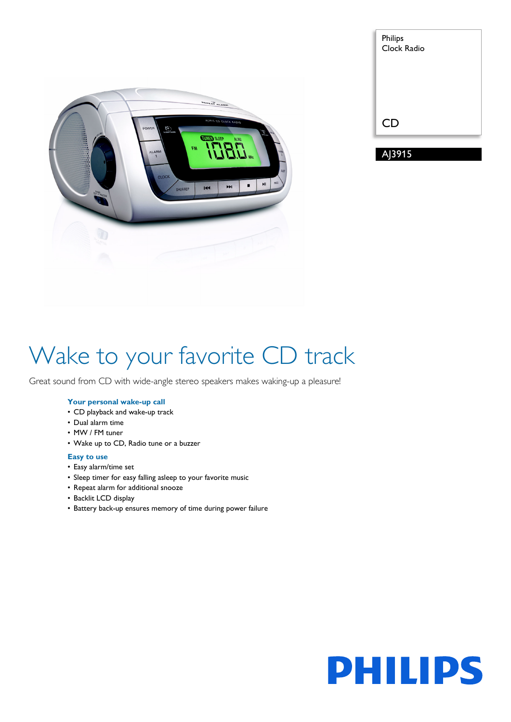

| Philips<br>Clock Radio |  |
|------------------------|--|
| <b>CD</b>              |  |
| AJ3915                 |  |

# Wake to your favorite CD track

Great sound from CD with wide-angle stereo speakers makes waking-up a pleasure!

## **Your personal wake-up call**

- CD playback and wake-up track
- Dual alarm time
- MW / FM tuner
- Wake up to CD, Radio tune or a buzzer

## **Easy to use**

- Easy alarm/time set
- Sleep timer for easy falling asleep to your favorite music
- Repeat alarm for additional snooze
- Backlit LCD display
- Battery back-up ensures memory of time during power failure